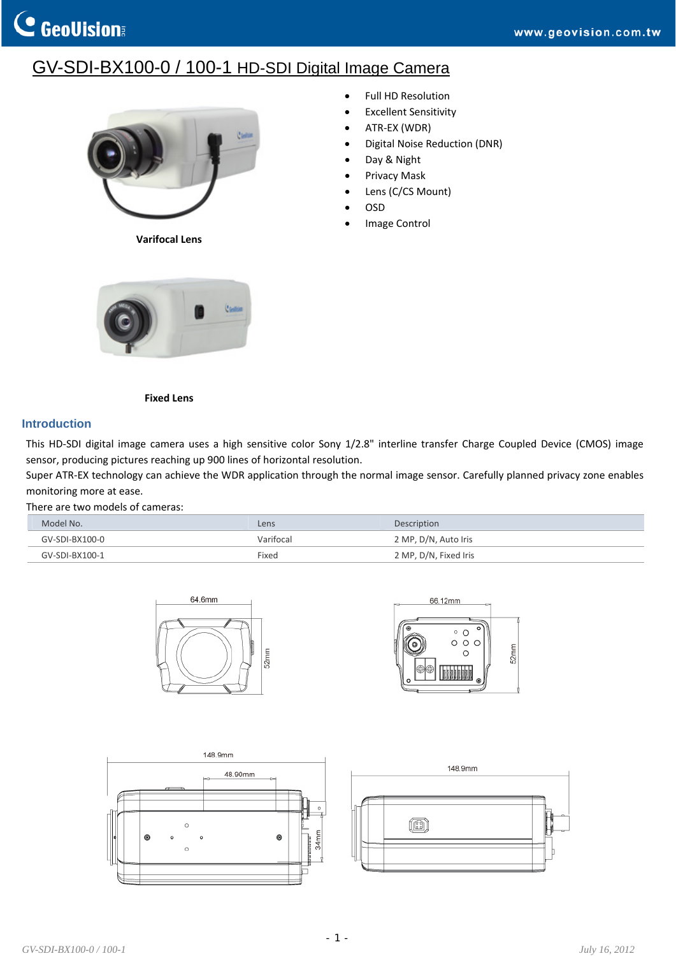## GV-SDI-BX100-0 / 100-1 HD-SDI Digital Image Camera



**Varifocal Lens**

Full HD Resolution

- Excellent Sensitivity
- ATR‐EX (WDR)
- Digital Noise Reduction (DNR)
- Day & Night
- Privacy Mask
- Lens (C/CS Mount)
- OSD
- Image Control



**Fixed Lens**

## **Introduction**

This HD-SDI digital image camera uses a high sensitive color Sony 1/2.8" interline transfer Charge Coupled Device (CMOS) image sensor, producing pictures reaching up 900 lines of horizontal resolution.

Super ATR‐EX technology can achieve the WDR application through the normal image sensor. Carefully planned privacy zone enables monitoring more at ease.

There are two models of cameras:

| Model No.      | Lens      | Description           |
|----------------|-----------|-----------------------|
| GV-SDI-BX100-0 | Varifocal | 2 MP, D/N, Auto Iris  |
| GV-SDI-BX100-1 | Fixed     | 2 MP, D/N, Fixed Iris |